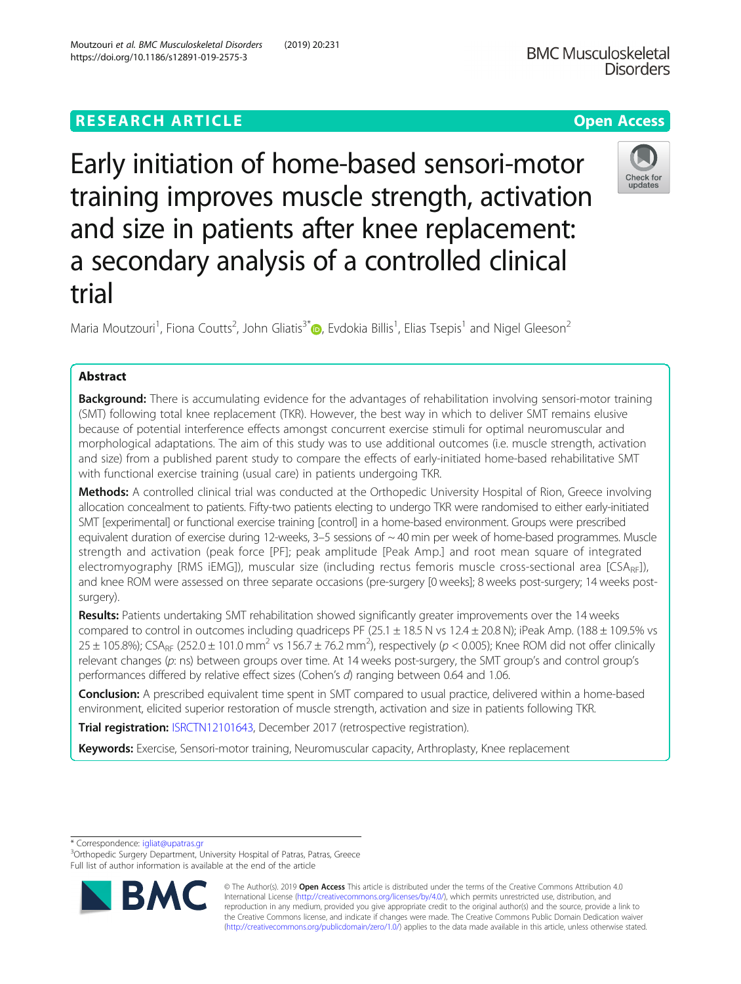# **RESEARCH ARTICLE Example 2014 12:30 The Contract of Contract ACCESS**

Early initiation of home-based sensori-motor training improves muscle strength, activation and size in patients after knee replacement: a secondary analysis of a controlled clinical trial

Maria Moutzouri<sup>1</sup>[,](http://orcid.org/0000-0002-1216-354X) Fiona Coutts<sup>2</sup>, John Gliatis<sup>3\*</sup> $\bm{\mathbb{D}}$ , Evdokia Billis<sup>1</sup>, Elias Tsepis<sup>1</sup> and Nigel Gleeson<sup>2</sup>

## Abstract

Background: There is accumulating evidence for the advantages of rehabilitation involving sensori-motor training (SMT) following total knee replacement (TKR). However, the best way in which to deliver SMT remains elusive because of potential interference effects amongst concurrent exercise stimuli for optimal neuromuscular and morphological adaptations. The aim of this study was to use additional outcomes (i.e. muscle strength, activation and size) from a published parent study to compare the effects of early-initiated home-based rehabilitative SMT with functional exercise training (usual care) in patients undergoing TKR.

Methods: A controlled clinical trial was conducted at the Orthopedic University Hospital of Rion, Greece involving allocation concealment to patients. Fifty-two patients electing to undergo TKR were randomised to either early-initiated SMT [experimental] or functional exercise training [control] in a home-based environment. Groups were prescribed equivalent duration of exercise during 12-weeks,  $3-5$  sessions of  $\sim$  40 min per week of home-based programmes. Muscle strength and activation (peak force [PF]; peak amplitude [Peak Amp.] and root mean square of integrated electromyography [RMS iEMG]), muscular size (including rectus femoris muscle cross-sectional area [CSA<sub>RF</sub>]), and knee ROM were assessed on three separate occasions (pre-surgery [0 weeks]; 8 weeks post-surgery; 14 weeks postsurgery).

Results: Patients undertaking SMT rehabilitation showed significantly greater improvements over the 14 weeks compared to control in outcomes including quadriceps PF (25.1  $\pm$  18.5 N vs 12.4  $\pm$  20.8 N); iPeak Amp. (188  $\pm$  109.5% vs 25 ± 105.8%); CSA<sub>RF</sub> (252.0 ± 101.0 mm<sup>2</sup> vs 156.7 ± 76.2 mm<sup>2</sup>), respectively (p < 0.005); Knee ROM did not offer clinically relevant changes (p: ns) between groups over time. At 14 weeks post-surgery, the SMT group's and control group's performances differed by relative effect sizes (Cohen's d) ranging between 0.64 and 1.06.

Conclusion: A prescribed equivalent time spent in SMT compared to usual practice, delivered within a home-based environment, elicited superior restoration of muscle strength, activation and size in patients following TKR.

**Trial registration:** [ISRCTN12101643,](http://www.isrctn.com/ISRCTN12101643) December 2017 (retrospective registration).

Keywords: Exercise, Sensori-motor training, Neuromuscular capacity, Arthroplasty, Knee replacement

\* Correspondence: [igliat@upatras.gr](mailto:igliat@upatras.gr) <sup>3</sup>

<sup>3</sup>Orthopedic Surgery Department, University Hospital of Patras, Patras, Greece Full list of author information is available at the end of the article

> © The Author(s). 2019 **Open Access** This article is distributed under the terms of the Creative Commons Attribution 4.0 International License [\(http://creativecommons.org/licenses/by/4.0/](http://creativecommons.org/licenses/by/4.0/)), which permits unrestricted use, distribution, and reproduction in any medium, provided you give appropriate credit to the original author(s) and the source, provide a link to the Creative Commons license, and indicate if changes were made. The Creative Commons Public Domain Dedication waiver [\(http://creativecommons.org/publicdomain/zero/1.0/](http://creativecommons.org/publicdomain/zero/1.0/)) applies to the data made available in this article, unless otherwise stated.



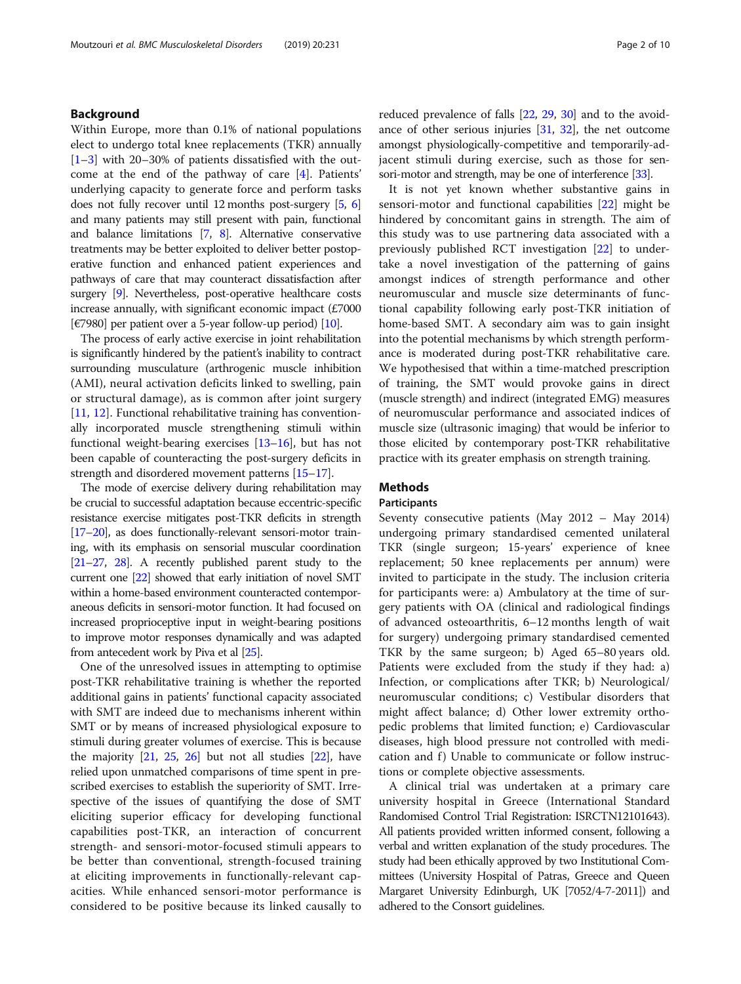## Background

Within Europe, more than 0.1% of national populations elect to undergo total knee replacements (TKR) annually  $[1–3]$  $[1–3]$  $[1–3]$  $[1–3]$  with 20–30% of patients dissatisfied with the outcome at the end of the pathway of care [[4\]](#page-8-0). Patients' underlying capacity to generate force and perform tasks does not fully recover until 12 months post-surgery [\[5,](#page-8-0) [6](#page-8-0)] and many patients may still present with pain, functional and balance limitations [[7](#page-8-0), [8](#page-8-0)]. Alternative conservative treatments may be better exploited to deliver better postoperative function and enhanced patient experiences and pathways of care that may counteract dissatisfaction after surgery [\[9](#page-8-0)]. Nevertheless, post-operative healthcare costs increase annually, with significant economic impact (£7000 [ $\epsilon$ 7980] per patient over a 5-year follow-up period) [\[10](#page-8-0)].

The process of early active exercise in joint rehabilitation is significantly hindered by the patient's inability to contract surrounding musculature (arthrogenic muscle inhibition (AMI), neural activation deficits linked to swelling, pain or structural damage), as is common after joint surgery [[11,](#page-8-0) [12](#page-8-0)]. Functional rehabilitative training has conventionally incorporated muscle strengthening stimuli within functional weight-bearing exercises [\[13](#page-8-0)–[16\]](#page-8-0), but has not been capable of counteracting the post-surgery deficits in strength and disordered movement patterns [\[15](#page-8-0)–[17](#page-8-0)].

The mode of exercise delivery during rehabilitation may be crucial to successful adaptation because eccentric-specific resistance exercise mitigates post-TKR deficits in strength [[17](#page-8-0)–[20\]](#page-8-0), as does functionally-relevant sensori-motor training, with its emphasis on sensorial muscular coordination [[21](#page-8-0)–[27,](#page-8-0) [28](#page-8-0)]. A recently published parent study to the current one [\[22](#page-8-0)] showed that early initiation of novel SMT within a home-based environment counteracted contemporaneous deficits in sensori-motor function. It had focused on increased proprioceptive input in weight-bearing positions to improve motor responses dynamically and was adapted from antecedent work by Piva et al [\[25](#page-8-0)].

One of the unresolved issues in attempting to optimise post-TKR rehabilitative training is whether the reported additional gains in patients' functional capacity associated with SMT are indeed due to mechanisms inherent within SMT or by means of increased physiological exposure to stimuli during greater volumes of exercise. This is because the majority  $[21, 25, 26]$  $[21, 25, 26]$  $[21, 25, 26]$  $[21, 25, 26]$  $[21, 25, 26]$  $[21, 25, 26]$  but not all studies  $[22]$  $[22]$  $[22]$ , have relied upon unmatched comparisons of time spent in prescribed exercises to establish the superiority of SMT. Irrespective of the issues of quantifying the dose of SMT eliciting superior efficacy for developing functional capabilities post-TKR, an interaction of concurrent strength- and sensori-motor-focused stimuli appears to be better than conventional, strength-focused training at eliciting improvements in functionally-relevant capacities. While enhanced sensori-motor performance is considered to be positive because its linked causally to reduced prevalence of falls [\[22](#page-8-0), [29](#page-8-0), [30\]](#page-8-0) and to the avoidance of other serious injuries [\[31,](#page-8-0) [32\]](#page-8-0), the net outcome amongst physiologically-competitive and temporarily-adjacent stimuli during exercise, such as those for sensori-motor and strength, may be one of interference [\[33](#page-8-0)].

It is not yet known whether substantive gains in sensori-motor and functional capabilities [[22\]](#page-8-0) might be hindered by concomitant gains in strength. The aim of this study was to use partnering data associated with a previously published RCT investigation [[22\]](#page-8-0) to undertake a novel investigation of the patterning of gains amongst indices of strength performance and other neuromuscular and muscle size determinants of functional capability following early post-TKR initiation of home-based SMT. A secondary aim was to gain insight into the potential mechanisms by which strength performance is moderated during post-TKR rehabilitative care. We hypothesised that within a time-matched prescription of training, the SMT would provoke gains in direct (muscle strength) and indirect (integrated EMG) measures of neuromuscular performance and associated indices of muscle size (ultrasonic imaging) that would be inferior to those elicited by contemporary post-TKR rehabilitative practice with its greater emphasis on strength training.

## Methods

## Participants

Seventy consecutive patients (May 2012 – May 2014) undergoing primary standardised cemented unilateral TKR (single surgeon; 15-years' experience of knee replacement; 50 knee replacements per annum) were invited to participate in the study. The inclusion criteria for participants were: a) Ambulatory at the time of surgery patients with OA (clinical and radiological findings of advanced osteoarthritis, 6–12 months length of wait for surgery) undergoing primary standardised cemented TKR by the same surgeon; b) Aged 65–80 years old. Patients were excluded from the study if they had: a) Infection, or complications after TKR; b) Neurological/ neuromuscular conditions; c) Vestibular disorders that might affect balance; d) Other lower extremity orthopedic problems that limited function; e) Cardiovascular diseases, high blood pressure not controlled with medication and f) Unable to communicate or follow instructions or complete objective assessments.

A clinical trial was undertaken at a primary care university hospital in Greece (International Standard Randomised Control Trial Registration: ISRCTN12101643). All patients provided written informed consent, following a verbal and written explanation of the study procedures. The study had been ethically approved by two Institutional Committees (University Hospital of Patras, Greece and Queen Margaret University Edinburgh, UK [7052/4-7-2011]) and adhered to the Consort guidelines.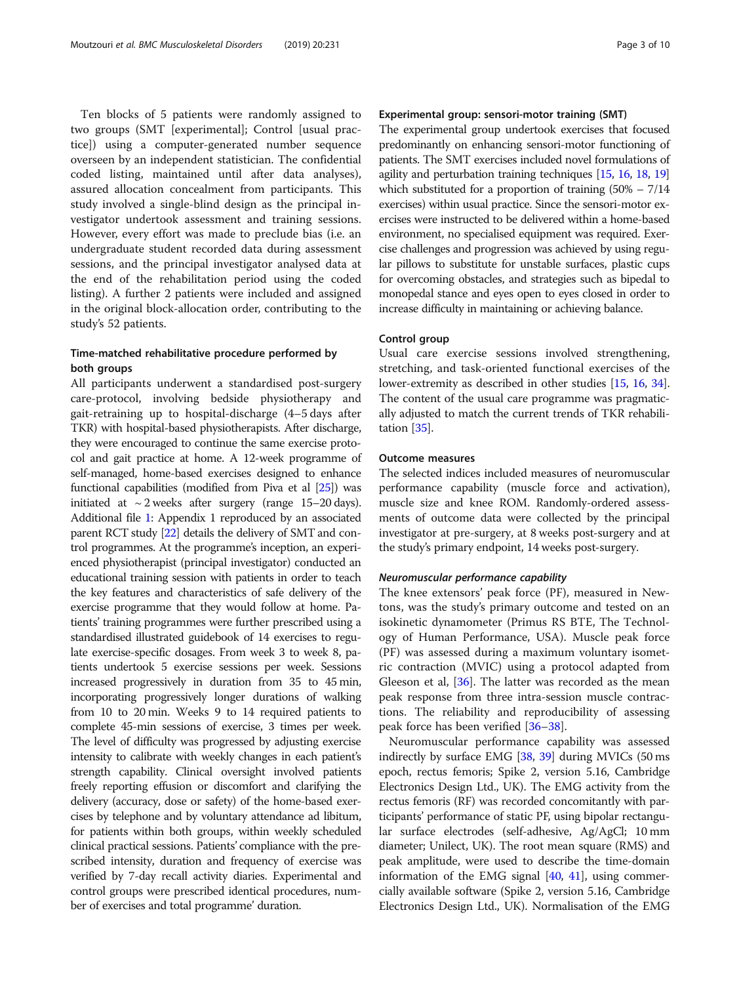Ten blocks of 5 patients were randomly assigned to two groups (SMT [experimental]; Control [usual practice]) using a computer-generated number sequence overseen by an independent statistician. The confidential coded listing, maintained until after data analyses), assured allocation concealment from participants. This study involved a single-blind design as the principal investigator undertook assessment and training sessions. However, every effort was made to preclude bias (i.e. an undergraduate student recorded data during assessment sessions, and the principal investigator analysed data at the end of the rehabilitation period using the coded listing). A further 2 patients were included and assigned in the original block-allocation order, contributing to the study's 52 patients.

## Time-matched rehabilitative procedure performed by both groups

All participants underwent a standardised post-surgery care-protocol, involving bedside physiotherapy and gait-retraining up to hospital-discharge (4–5 days after TKR) with hospital-based physiotherapists. After discharge, they were encouraged to continue the same exercise protocol and gait practice at home. A 12-week programme of self-managed, home-based exercises designed to enhance functional capabilities (modified from Piva et al [\[25\]](#page-8-0)) was initiated at  $\sim$  2 weeks after surgery (range 15–20 days). Additional file [1](#page-7-0): Appendix 1 reproduced by an associated parent RCT study [\[22\]](#page-8-0) details the delivery of SMT and control programmes. At the programme's inception, an experienced physiotherapist (principal investigator) conducted an educational training session with patients in order to teach the key features and characteristics of safe delivery of the exercise programme that they would follow at home. Patients' training programmes were further prescribed using a standardised illustrated guidebook of 14 exercises to regulate exercise-specific dosages. From week 3 to week 8, patients undertook 5 exercise sessions per week. Sessions increased progressively in duration from 35 to 45 min, incorporating progressively longer durations of walking from 10 to 20 min. Weeks 9 to 14 required patients to complete 45-min sessions of exercise, 3 times per week. The level of difficulty was progressed by adjusting exercise intensity to calibrate with weekly changes in each patient's strength capability. Clinical oversight involved patients freely reporting effusion or discomfort and clarifying the delivery (accuracy, dose or safety) of the home-based exercises by telephone and by voluntary attendance ad libitum, for patients within both groups, within weekly scheduled clinical practical sessions. Patients' compliance with the prescribed intensity, duration and frequency of exercise was verified by 7-day recall activity diaries. Experimental and control groups were prescribed identical procedures, number of exercises and total programme' duration.

## Experimental group: sensori-motor training (SMT)

The experimental group undertook exercises that focused predominantly on enhancing sensori-motor functioning of patients. The SMT exercises included novel formulations of agility and perturbation training techniques [\[15,](#page-8-0) [16](#page-8-0), [18,](#page-8-0) [19](#page-8-0)] which substituted for a proportion of training  $(50\% - 7/14)$ exercises) within usual practice. Since the sensori-motor exercises were instructed to be delivered within a home-based environment, no specialised equipment was required. Exercise challenges and progression was achieved by using regular pillows to substitute for unstable surfaces, plastic cups for overcoming obstacles, and strategies such as bipedal to monopedal stance and eyes open to eyes closed in order to increase difficulty in maintaining or achieving balance.

## Control group

Usual care exercise sessions involved strengthening, stretching, and task-oriented functional exercises of the lower-extremity as described in other studies [[15](#page-8-0), [16](#page-8-0), [34](#page-8-0)]. The content of the usual care programme was pragmatically adjusted to match the current trends of TKR rehabilitation [[35](#page-8-0)].

#### Outcome measures

The selected indices included measures of neuromuscular performance capability (muscle force and activation), muscle size and knee ROM. Randomly-ordered assessments of outcome data were collected by the principal investigator at pre-surgery, at 8 weeks post-surgery and at the study's primary endpoint, 14 weeks post-surgery.

## Neuromuscular performance capability

The knee extensors' peak force (PF), measured in Newtons, was the study's primary outcome and tested on an isokinetic dynamometer (Primus RS BTE, The Technology of Human Performance, USA). Muscle peak force (PF) was assessed during a maximum voluntary isometric contraction (MVIC) using a protocol adapted from Gleeson et al, [[36](#page-8-0)]. The latter was recorded as the mean peak response from three intra-session muscle contractions. The reliability and reproducibility of assessing peak force has been verified [\[36](#page-8-0)–[38\]](#page-9-0).

Neuromuscular performance capability was assessed indirectly by surface EMG [\[38](#page-9-0), [39](#page-9-0)] during MVICs (50 ms epoch, rectus femoris; Spike 2, version 5.16, Cambridge Electronics Design Ltd., UK). The EMG activity from the rectus femoris (RF) was recorded concomitantly with participants' performance of static PF, using bipolar rectangular surface electrodes (self-adhesive, Ag/AgCl; 10 mm diameter; Unilect, UK). The root mean square (RMS) and peak amplitude, were used to describe the time-domain information of the EMG signal  $[40, 41]$  $[40, 41]$  $[40, 41]$ , using commercially available software (Spike 2, version 5.16, Cambridge Electronics Design Ltd., UK). Normalisation of the EMG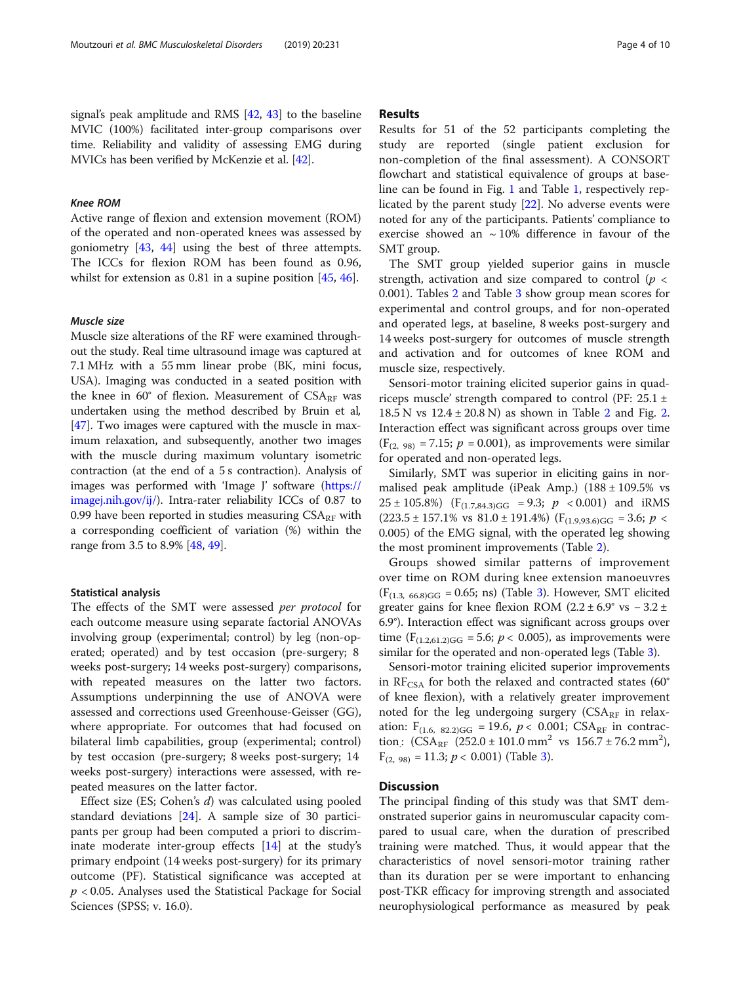## Knee ROM

Active range of flexion and extension movement (ROM) of the operated and non-operated knees was assessed by goniometry [[43,](#page-9-0) [44\]](#page-9-0) using the best of three attempts. The ICCs for flexion ROM has been found as 0.96, whilst for extension as 0.81 in a supine position [[45](#page-9-0), [46](#page-9-0)].

## Muscle size

Muscle size alterations of the RF were examined throughout the study. Real time ultrasound image was captured at 7.1 MHz with a 55 mm linear probe (BK, mini focus, USA). Imaging was conducted in a seated position with the knee in  $60^{\circ}$  of flexion. Measurement of  $CSA_{RF}$  was undertaken using the method described by Bruin et al, [[47](#page-9-0)]. Two images were captured with the muscle in maximum relaxation, and subsequently, another two images with the muscle during maximum voluntary isometric contraction (at the end of a 5 s contraction). Analysis of images was performed with 'Image J' software [\(https://](https://imagej.nih.gov/ij/) [imagej.nih.gov/ij/\)](https://imagej.nih.gov/ij/). Intra-rater reliability ICCs of 0.87 to 0.99 have been reported in studies measuring  $CSA_{RF}$  with a corresponding coefficient of variation (%) within the range from 3.5 to 8.9% [[48,](#page-9-0) [49\]](#page-9-0).

## Statistical analysis

The effects of the SMT were assessed per protocol for each outcome measure using separate factorial ANOVAs involving group (experimental; control) by leg (non-operated; operated) and by test occasion (pre-surgery; 8 weeks post-surgery; 14 weeks post-surgery) comparisons, with repeated measures on the latter two factors. Assumptions underpinning the use of ANOVA were assessed and corrections used Greenhouse-Geisser (GG), where appropriate. For outcomes that had focused on bilateral limb capabilities, group (experimental; control) by test occasion (pre-surgery; 8 weeks post-surgery; 14 weeks post-surgery) interactions were assessed, with repeated measures on the latter factor.

Effect size (ES; Cohen's d) was calculated using pooled standard deviations [[24](#page-8-0)]. A sample size of 30 participants per group had been computed a priori to discriminate moderate inter-group effects [\[14](#page-8-0)] at the study's primary endpoint (14 weeks post-surgery) for its primary outcome (PF). Statistical significance was accepted at  $p < 0.05$ . Analyses used the Statistical Package for Social Sciences (SPSS; v. 16.0).

## Results

Results for 51 of the 52 participants completing the study are reported (single patient exclusion for non-completion of the final assessment). A CONSORT flowchart and statistical equivalence of groups at baseline can be found in Fig. [1](#page-4-0) and Table [1,](#page-5-0) respectively replicated by the parent study [[22\]](#page-8-0). No adverse events were noted for any of the participants. Patients' compliance to exercise showed an  $\sim 10\%$  difference in favour of the SMT group.

The SMT group yielded superior gains in muscle strength, activation and size compared to control ( $p <$ 0.001). Tables [2](#page-5-0) and Table [3](#page-6-0) show group mean scores for experimental and control groups, and for non-operated and operated legs, at baseline, 8 weeks post-surgery and 14 weeks post-surgery for outcomes of muscle strength and activation and for outcomes of knee ROM and muscle size, respectively.

Sensori-motor training elicited superior gains in quadriceps muscle' strength compared to control (PF:  $25.1 \pm$  $18.5 N$  vs  $12.4 \pm 20.8 N$  $12.4 \pm 20.8 N$  $12.4 \pm 20.8 N$ ) as shown in Table 2 and Fig. 2. Interaction effect was significant across groups over time  $(F_{(2, 98)} = 7.15; p = 0.001)$ , as improvements were similar for operated and non-operated legs.

Similarly, SMT was superior in eliciting gains in normalised peak amplitude (iPeak Amp.)  $(188 \pm 109.5\% \text{ vs }$  $25 \pm 105.8\%$ ) (F<sub>(1.7,84.3)GG</sub> = 9.3;  $p < 0.001$ ) and iRMS  $(223.5 \pm 157.1\% \text{ vs } 81.0 \pm 191.4\%)$  (F<sub>(1.9,93.6)GG</sub> = 3.6; *p* < 0.005) of the EMG signal, with the operated leg showing the most prominent improvements (Table [2\)](#page-5-0).

Groups showed similar patterns of improvement over time on ROM during knee extension manoeuvres  $(F<sub>(1.3, 66.8)GG</sub> = 0.65; ns)$  $(F<sub>(1.3, 66.8)GG</sub> = 0.65; ns)$  $(F<sub>(1.3, 66.8)GG</sub> = 0.65; ns)$  (Table 3). However, SMT elicited greater gains for knee flexion ROM ( $2.2 \pm 6.9^{\circ}$  vs  $-3.2 \pm$ 6.9°). Interaction effect was significant across groups over time ( $F_{(1.2,61.2)GG}$  = 5.6;  $p < 0.005$ ), as improvements were similar for the operated and non-operated legs (Table [3](#page-6-0)).

Sensori-motor training elicited superior improvements in  $RF_{CSA}$  for both the relaxed and contracted states (60 $^{\circ}$ of knee flexion), with a relatively greater improvement noted for the leg undergoing surgery ( $CSA_{RF}$  in relaxation:  $F_{(1.6, 82.2)GG} = 19.6$ ,  $p < 0.001$ ; CSA<sub>RF</sub> in contraction:  $(CSA_{RF} (252.0 \pm 101.0 \text{ mm}^2 \text{ vs } 156.7 \pm 76.2 \text{ mm}^2)$  $F_{(2, 98)} = 11.3; p < 0.001$  (Table [3\)](#page-6-0).

## **Discussion**

The principal finding of this study was that SMT demonstrated superior gains in neuromuscular capacity compared to usual care, when the duration of prescribed training were matched. Thus, it would appear that the characteristics of novel sensori-motor training rather than its duration per se were important to enhancing post-TKR efficacy for improving strength and associated neurophysiological performance as measured by peak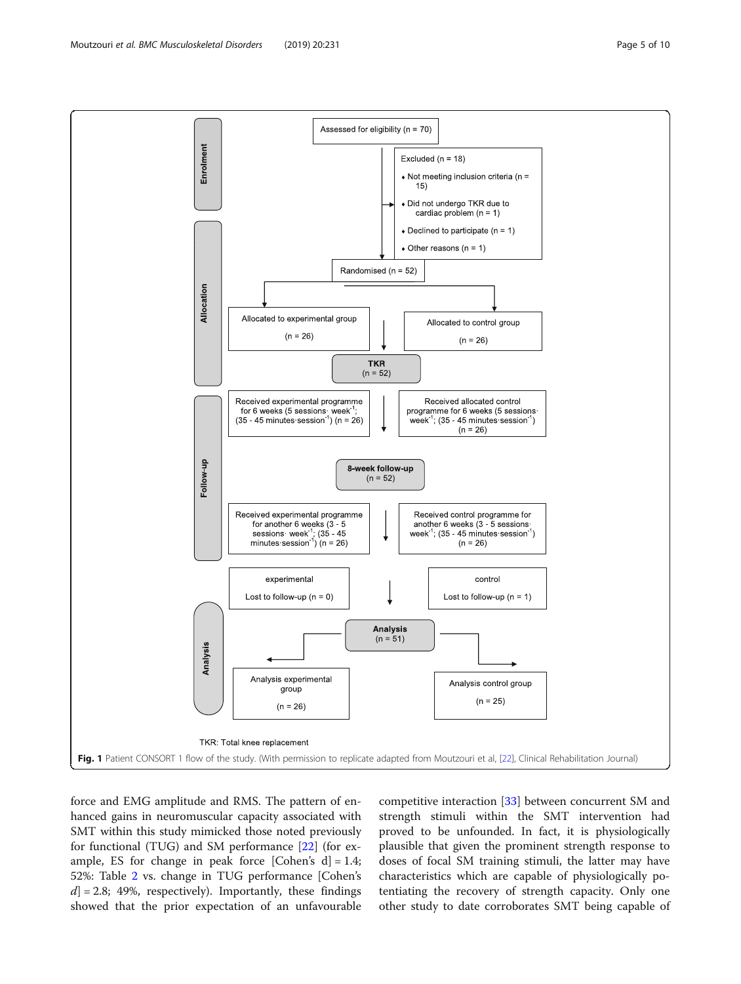<span id="page-4-0"></span>

force and EMG amplitude and RMS. The pattern of enhanced gains in neuromuscular capacity associated with SMT within this study mimicked those noted previously for functional (TUG) and SM performance [[22\]](#page-8-0) (for example, ES for change in peak force [Cohen's  $d$ ] = 1.4; 52%: Table [2](#page-5-0) vs. change in TUG performance [Cohen's  $d$ ] = 2.8; 49%, respectively). Importantly, these findings showed that the prior expectation of an unfavourable competitive interaction [[33\]](#page-8-0) between concurrent SM and strength stimuli within the SMT intervention had proved to be unfounded. In fact, it is physiologically plausible that given the prominent strength response to doses of focal SM training stimuli, the latter may have characteristics which are capable of physiologically potentiating the recovery of strength capacity. Only one other study to date corroborates SMT being capable of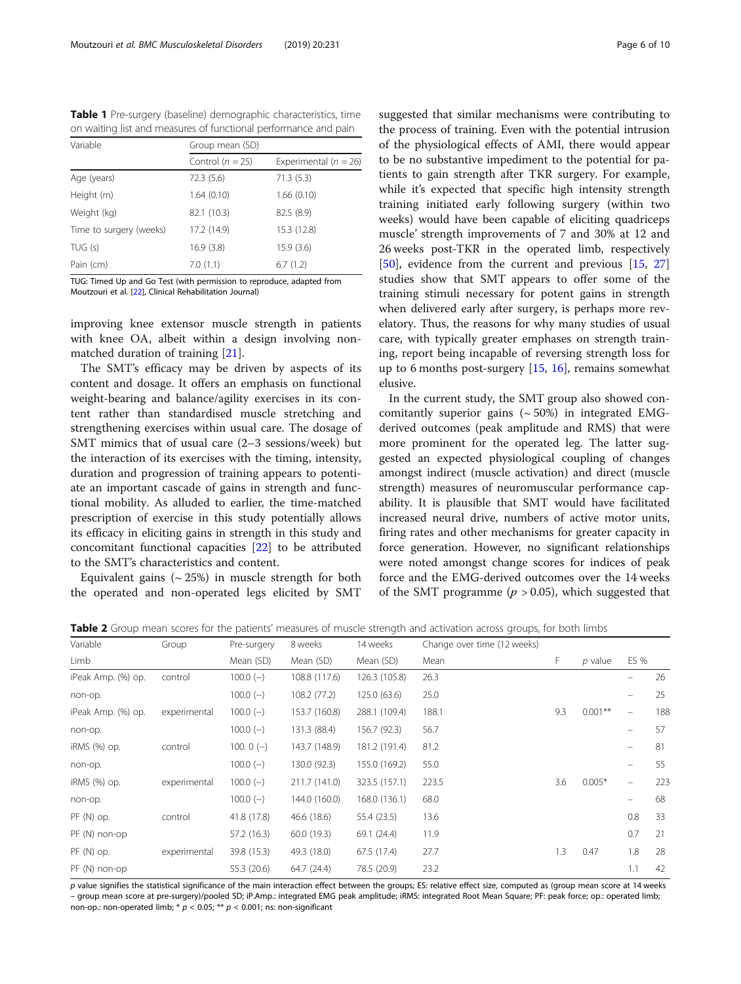<span id="page-5-0"></span>Table 1 Pre-surgery (baseline) demographic characteristics, time on waiting list and measures of functional performance and pain

| Variable                | Group mean (SD)      |                           |  |  |  |  |
|-------------------------|----------------------|---------------------------|--|--|--|--|
|                         | Control ( $n = 25$ ) | Experimental ( $n = 26$ ) |  |  |  |  |
| Age (years)             | 72.3 (5.6)           | 71.3(5.3)                 |  |  |  |  |
| Height (m)              | 1.64(0.10)           | 1.66(0.10)                |  |  |  |  |
| Weight (kg)             | 82.1 (10.3)          | 82.5 (8.9)                |  |  |  |  |
| Time to surgery (weeks) | 17.2 (14.9)          | 15.3 (12.8)               |  |  |  |  |
| TUG(s)                  | 16.9(3.8)            | 15.9(3.6)                 |  |  |  |  |
| Pain (cm)               | 7.0(1.1)             | 6.7(1.2)                  |  |  |  |  |

TUG: Timed Up and Go Test (with permission to reproduce, adapted from Moutzouri et al. [\[22](#page-8-0)], Clinical Rehabilitation Journal)

improving knee extensor muscle strength in patients with knee OA, albeit within a design involving nonmatched duration of training [\[21](#page-8-0)].

The SMT's efficacy may be driven by aspects of its content and dosage. It offers an emphasis on functional weight-bearing and balance/agility exercises in its content rather than standardised muscle stretching and strengthening exercises within usual care. The dosage of SMT mimics that of usual care (2–3 sessions/week) but the interaction of its exercises with the timing, intensity, duration and progression of training appears to potentiate an important cascade of gains in strength and functional mobility. As alluded to earlier, the time-matched prescription of exercise in this study potentially allows its efficacy in eliciting gains in strength in this study and concomitant functional capacities [[22](#page-8-0)] to be attributed to the SMT's characteristics and content.

Equivalent gains  $({\sim} 25%)$  in muscle strength for both the operated and non-operated legs elicited by SMT

suggested that similar mechanisms were contributing to the process of training. Even with the potential intrusion of the physiological effects of AMI, there would appear to be no substantive impediment to the potential for patients to gain strength after TKR surgery. For example, while it's expected that specific high intensity strength training initiated early following surgery (within two weeks) would have been capable of eliciting quadriceps muscle' strength improvements of 7 and 30% at 12 and 26 weeks post-TKR in the operated limb, respectively [[50\]](#page-9-0), evidence from the current and previous [[15,](#page-8-0) [27](#page-8-0)] studies show that SMT appears to offer some of the training stimuli necessary for potent gains in strength when delivered early after surgery, is perhaps more revelatory. Thus, the reasons for why many studies of usual care, with typically greater emphases on strength training, report being incapable of reversing strength loss for up to 6 months post-surgery [\[15,](#page-8-0) [16](#page-8-0)], remains somewhat elusive.

In the current study, the SMT group also showed concomitantly superior gains  $({\sim}50\%)$  in integrated EMGderived outcomes (peak amplitude and RMS) that were more prominent for the operated leg. The latter suggested an expected physiological coupling of changes amongst indirect (muscle activation) and direct (muscle strength) measures of neuromuscular performance capability. It is plausible that SMT would have facilitated increased neural drive, numbers of active motor units, firing rates and other mechanisms for greater capacity in force generation. However, no significant relationships were noted amongst change scores for indices of peak force and the EMG-derived outcomes over the 14 weeks of the SMT programme ( $p > 0.05$ ), which suggested that

Table 2 Group mean scores for the patients' measures of muscle strength and activation across groups, for both limbs

| Variable           | Group        | Pre-surgery | 8 weeks       | 14 weeks      | Change over time (12 weeks) |     |           |                          |     |
|--------------------|--------------|-------------|---------------|---------------|-----------------------------|-----|-----------|--------------------------|-----|
| Limb               |              | Mean (SD)   | Mean (SD)     | Mean (SD)     | Mean                        | F   | $p$ value | ES %                     |     |
| iPeak Amp. (%) op. | control      | $100.0(-)$  | 108.8 (117.6) | 126.3 (105.8) | 26.3                        |     |           |                          | 26  |
| non-op.            |              | $100.0(-)$  | 108.2 (77.2)  | 125.0 (63.6)  | 25.0                        |     |           | $\equiv$                 | 25  |
| iPeak Amp. (%) op. | experimental | $100.0(-)$  | 153.7 (160.8) | 288.1 (109.4) | 188.1                       | 9.3 | $0.001**$ | $\overline{\phantom{m}}$ | 188 |
| non-op.            |              | $100.0(-)$  | 131.3 (88.4)  | 156.7 (92.3)  | 56.7                        |     |           | $\qquad \qquad =$        | 57  |
| iRMS (%) op.       | control      | 100. $0(-)$ | 143.7 (148.9) | 181.2 (191.4) | 81.2                        |     |           |                          | 81  |
| non-op.            |              | $100.0(-)$  | 130.0 (92.3)  | 155.0 (169.2) | 55.0                        |     |           | $\equiv$                 | 55  |
| iRMS (%) op.       | experimental | $100.0(-)$  | 211.7 (141.0) | 323.5 (157.1) | 223.5                       | 3.6 | $0.005*$  | $\overline{\phantom{m}}$ | 223 |
| non-op.            |              | $100.0(-)$  | 144.0 (160.0) | 168.0 (136.1) | 68.0                        |     |           | $\qquad \qquad -$        | 68  |
| $PF(N)$ op.        | control      | 41.8 (17.8) | 46.6 (18.6)   | 55.4 (23.5)   | 13.6                        |     |           | 0.8                      | 33  |
| PF (N) non-op      |              | 57.2 (16.3) | 60.0(19.3)    | 69.1 (24.4)   | 11.9                        |     |           | 0.7                      | 21  |
| PF (N) op.         | experimental | 39.8 (15.3) | 49.3 (18.0)   | 67.5(17.4)    | 27.7                        | 1.3 | 0.47      | 1.8                      | 28  |
| PF (N) non-op      |              | 55.3 (20.6) | 64.7 (24.4)   | 78.5 (20.9)   | 23.2                        |     |           | 1.1                      | 42  |

p value signifies the statistical significance of the main interaction effect between the groups; ES: relative effect size, computed as (group mean score at 14 weeks – group mean score at pre-surgery)/pooled SD; iP.Amp.: integrated EMG peak amplitude; iRMS: integrated Root Mean Square; PF: peak force; op.: operated limb; non-op.: non-operated limb;  $* p < 0.05; ** p < 0.001;$  ns: non-significant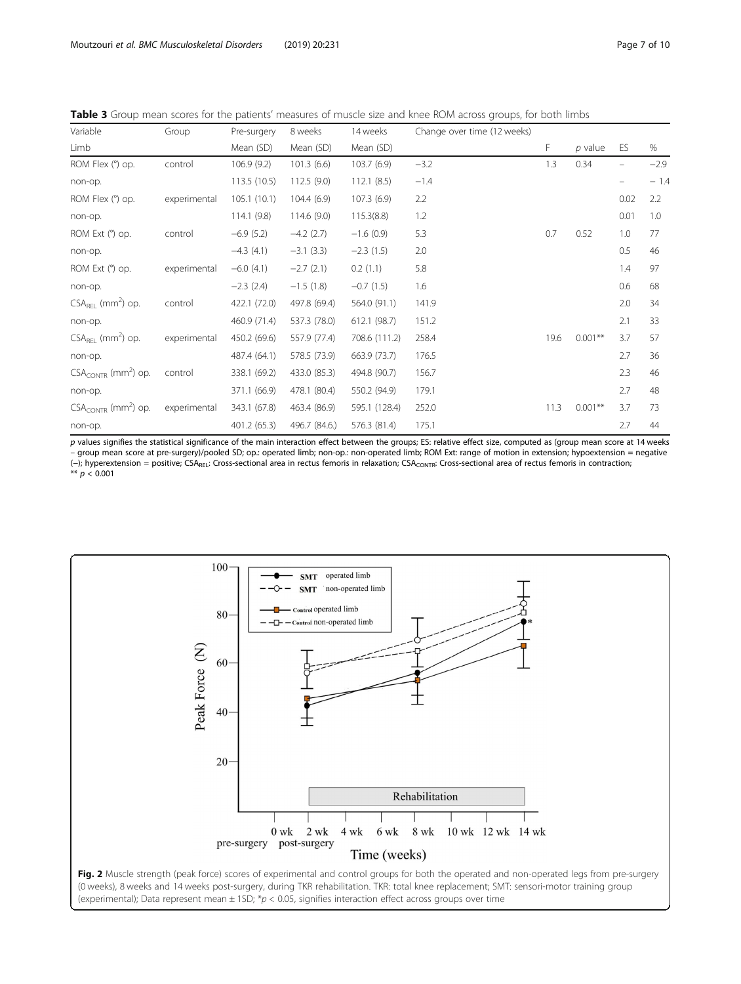<span id="page-6-0"></span>Table 3 Group mean scores for the patients' measures of muscle size and knee ROM across groups, for both limbs

| Variable                             | Group        | Pre-surgery  | 8 weeks       | 14 weeks      | Change over time (12 weeks) |      |            |      |        |
|--------------------------------------|--------------|--------------|---------------|---------------|-----------------------------|------|------------|------|--------|
| Limb                                 |              | Mean (SD)    | Mean (SD)     | Mean (SD)     |                             | F    | $p$ value  | ES   | %      |
| ROM Flex (°) op.                     | control      | 106.9(9.2)   | 101.3(6.6)    | 103.7(6.9)    | $-3.2$                      | 1.3  | 0.34       |      | $-2.9$ |
| non-op.                              |              | 113.5 (10.5) | 112.5(9.0)    | 112.1(8.5)    | $-1.4$                      |      |            |      | $-1.4$ |
| ROM Flex (°) op.                     | experimental | 105.1(10.1)  | 104.4(6.9)    | 107.3(6.9)    | 2.2                         |      |            | 0.02 | 2.2    |
| non-op.                              |              | 114.1(9.8)   | 114.6(9.0)    | 115.3(8.8)    | 1.2                         |      |            | 0.01 | 1.0    |
| ROM Ext (°) op.                      | control      | $-6.9(5.2)$  | $-4.2$ (2.7)  | $-1.6(0.9)$   | 5.3                         | 0.7  | 0.52       | 1.0  | 77     |
| non-op.                              |              | $-4.3(4.1)$  | $-3.1(3.3)$   | $-2.3(1.5)$   | 2.0                         |      |            | 0.5  | 46     |
| ROM Ext (°) op.                      | experimental | $-6.0(4.1)$  | $-2.7(2.1)$   | 0.2(1.1)      | 5.8                         |      |            | 1.4  | 97     |
| non-op.                              |              | $-2.3(2.4)$  | $-1.5(1.8)$   | $-0.7(1.5)$   | 1.6                         |      |            | 0.6  | 68     |
| $CSAREL$ (mm <sup>2</sup> ) op.      | control      | 422.1 (72.0) | 497.8 (69.4)  | 564.0 (91.1)  | 141.9                       |      |            | 2.0  | 34     |
| non-op.                              |              | 460.9 (71.4) | 537.3 (78.0)  | 612.1 (98.7)  | 151.2                       |      |            | 2.1  | 33     |
| $CSAREL$ (mm <sup>2</sup> ) op.      | experimental | 450.2 (69.6) | 557.9 (77.4)  | 708.6 (111.2) | 258.4                       | 19.6 | $0.001***$ | 3.7  | 57     |
| non-op.                              |              | 487.4 (64.1) | 578.5 (73.9)  | 663.9 (73.7)  | 176.5                       |      |            | 2.7  | 36     |
| $CSA_{CONTR}$ (mm <sup>2</sup> ) op. | control      | 338.1 (69.2) | 433.0 (85.3)  | 494.8 (90.7)  | 156.7                       |      |            | 2.3  | 46     |
| non-op.                              |              | 371.1 (66.9) | 478.1 (80.4)  | 550.2 (94.9)  | 179.1                       |      |            | 2.7  | 48     |
| $CSA_{CONTR}$ (mm <sup>2</sup> ) op. | experimental | 343.1 (67.8) | 463.4 (86.9)  | 595.1 (128.4) | 252.0                       | 11.3 | $0.001***$ | 3.7  | 73     |
| non-op.                              |              | 401.2 (65.3) | 496.7 (84.6.) | 576.3 (81.4)  | 175.1                       |      |            | 2.7  | 44     |

p values signifies the statistical significance of the main interaction effect between the groups; ES: relative effect size, computed as (group mean score at 14 weeks – group mean score at pre-surgery)/pooled SD; op.: operated limb; non-op.: non-operated limb; ROM Ext: range of motion in extension; hypoextension = negative (-); hyperextension = positive; CSA<sub>REL</sub>: Cross-sectional area in rectus femoris in relaxation; CSA<sub>CONTR</sub>: Cross-sectional area of rectus femoris in contraction; \*\*  $p < 0.001$ 

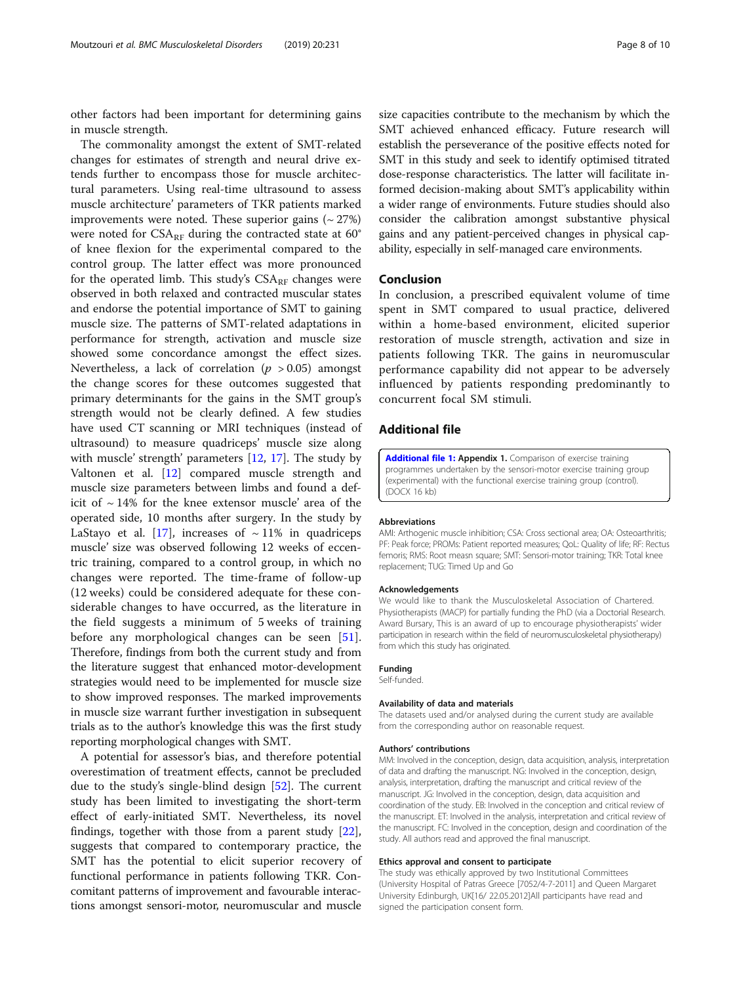<span id="page-7-0"></span>other factors had been important for determining gains in muscle strength.

The commonality amongst the extent of SMT-related changes for estimates of strength and neural drive extends further to encompass those for muscle architectural parameters. Using real-time ultrasound to assess muscle architecture' parameters of TKR patients marked improvements were noted. These superior gains  $({\sim} 27\%)$ were noted for  $CSA_{RF}$  during the contracted state at 60 $^{\circ}$ of knee flexion for the experimental compared to the control group. The latter effect was more pronounced for the operated limb. This study's  $CSA_{RF}$  changes were observed in both relaxed and contracted muscular states and endorse the potential importance of SMT to gaining muscle size. The patterns of SMT-related adaptations in performance for strength, activation and muscle size showed some concordance amongst the effect sizes. Nevertheless, a lack of correlation ( $p > 0.05$ ) amongst the change scores for these outcomes suggested that primary determinants for the gains in the SMT group's strength would not be clearly defined. A few studies have used CT scanning or MRI techniques (instead of ultrasound) to measure quadriceps' muscle size along with muscle' strength' parameters [\[12,](#page-8-0) [17](#page-8-0)]. The study by Valtonen et al. [\[12\]](#page-8-0) compared muscle strength and muscle size parameters between limbs and found a deficit of  $\sim$  14% for the knee extensor muscle' area of the operated side, 10 months after surgery. In the study by LaStayo et al. [[17](#page-8-0)], increases of  $\sim$  11% in quadriceps muscle' size was observed following 12 weeks of eccentric training, compared to a control group, in which no changes were reported. The time-frame of follow-up (12 weeks) could be considered adequate for these considerable changes to have occurred, as the literature in the field suggests a minimum of 5 weeks of training before any morphological changes can be seen [[51](#page-9-0)]. Therefore, findings from both the current study and from the literature suggest that enhanced motor-development strategies would need to be implemented for muscle size to show improved responses. The marked improvements in muscle size warrant further investigation in subsequent trials as to the author's knowledge this was the first study reporting morphological changes with SMT.

A potential for assessor's bias, and therefore potential overestimation of treatment effects, cannot be precluded due to the study's single-blind design [\[52\]](#page-9-0). The current study has been limited to investigating the short-term effect of early-initiated SMT. Nevertheless, its novel findings, together with those from a parent study [\[22](#page-8-0)], suggests that compared to contemporary practice, the SMT has the potential to elicit superior recovery of functional performance in patients following TKR. Concomitant patterns of improvement and favourable interactions amongst sensori-motor, neuromuscular and muscle

size capacities contribute to the mechanism by which the SMT achieved enhanced efficacy. Future research will establish the perseverance of the positive effects noted for SMT in this study and seek to identify optimised titrated dose-response characteristics. The latter will facilitate informed decision-making about SMT's applicability within a wider range of environments. Future studies should also consider the calibration amongst substantive physical gains and any patient-perceived changes in physical capability, especially in self-managed care environments.

## Conclusion

In conclusion, a prescribed equivalent volume of time spent in SMT compared to usual practice, delivered within a home-based environment, elicited superior restoration of muscle strength, activation and size in patients following TKR. The gains in neuromuscular performance capability did not appear to be adversely influenced by patients responding predominantly to concurrent focal SM stimuli.

## Additional file

[Additional file 1:](https://doi.org/10.1186/s12891-019-2575-3) Appendix 1. Comparison of exercise training programmes undertaken by the sensori-motor exercise training group (experimental) with the functional exercise training group (control). (DOCX 16 kb)

#### Abbreviations

AMI: Arthogenic muscle inhibition; CSA: Cross sectional area; OA: Osteoarthritis; PF: Peak force; PROMs: Patient reported measures; QoL: Quality of life; RF: Rectus femoris; RMS: Root measn square; SMT: Sensori-motor training; TKR: Total knee replacement; TUG: Timed Up and Go

#### Acknowledgements

We would like to thank the Musculoskeletal Association of Chartered. Physiotherapists (MACP) for partially funding the PhD (via a Doctorial Research. Award Bursary, This is an award of up to encourage physiotherapists' wider participation in research within the field of neuromusculoskeletal physiotherapy) from which this study has originated.

#### Funding

Self-funded.

#### Availability of data and materials

The datasets used and/or analysed during the current study are available from the corresponding author on reasonable request.

#### Authors' contributions

MM: Involved in the conception, design, data acquisition, analysis, interpretation of data and drafting the manuscript. NG: Involved in the conception, design, analysis, interpretation, drafting the manuscript and critical review of the manuscript. JG: Involved in the conception, design, data acquisition and coordination of the study. EB: Involved in the conception and critical review of the manuscript. ET: Involved in the analysis, interpretation and critical review of the manuscript. FC: Involved in the conception, design and coordination of the study. All authors read and approved the final manuscript.

#### Ethics approval and consent to participate

The study was ethically approved by two Institutional Committees (University Hospital of Patras Greece [7052/4-7-2011] and Queen Margaret University Edinburgh, UK[16/ 22.05.2012]All participants have read and signed the participation consent form.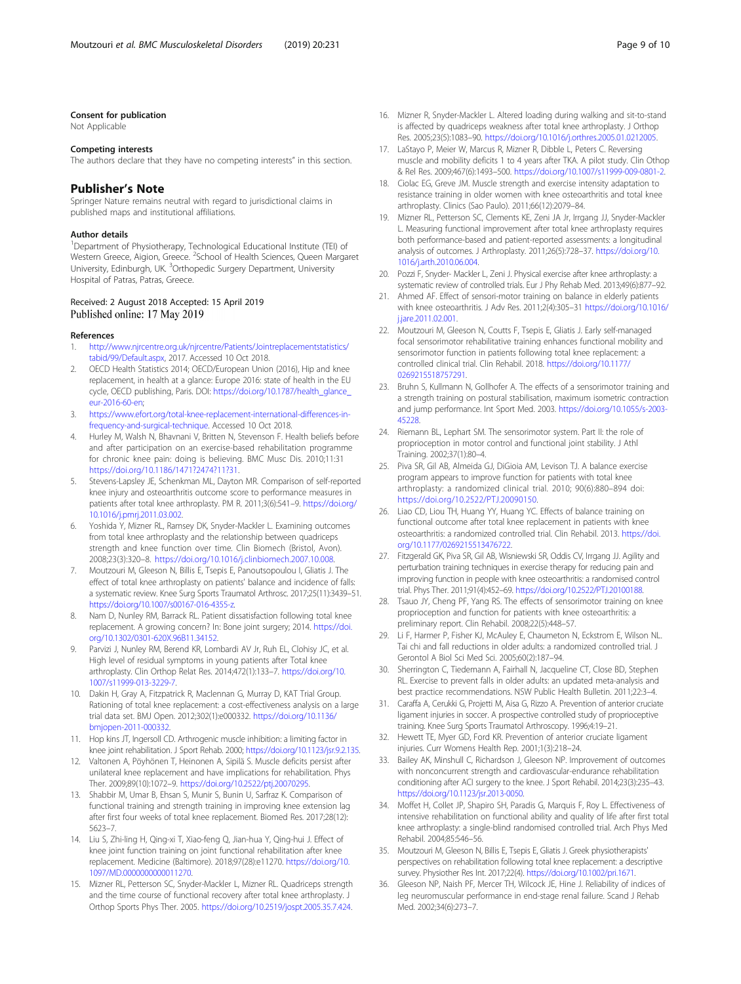#### <span id="page-8-0"></span>Consent for publication

Not Applicable

#### Competing interests

The authors declare that they have no competing interests" in this section.

## Publisher's Note

Springer Nature remains neutral with regard to jurisdictional claims in published maps and institutional affiliations.

#### Author details

<sup>1</sup>Department of Physiotherapy, Technological Educational Institute (TEI) of Western Greece, Aigion, Greece. <sup>2</sup>School of Health Sciences, Queen Margaret University, Edinburgh, UK. <sup>3</sup>Orthopedic Surgery Department, University Hospital of Patras, Patras, Greece.

#### Received: 2 August 2018 Accepted: 15 April 2019 Published online: 17 May 2019

#### References

- 1. [http://www.njrcentre.org.uk/njrcentre/Patients/Jointreplacementstatistics/](http://www.njrcentre.org.uk/njrcentre/Patients/Jointreplacementstatistics/tabid/99/Default.aspx) [tabid/99/Default.aspx](http://www.njrcentre.org.uk/njrcentre/Patients/Jointreplacementstatistics/tabid/99/Default.aspx), 2017. Accessed 10 Oct 2018.
- 2. OECD Health Statistics 2014; OECD/European Union (2016), Hip and knee replacement, in health at a glance: Europe 2016: state of health in the EU cycle, OECD publishing, Paris. DOI: [https://doi.org/10.1787/health\\_glance\\_](https://doi.org/10.1787/health_glance_eur-2016-60-en) [eur-2016-60-en;](https://doi.org/10.1787/health_glance_eur-2016-60-en)
- 3. [https://www.efort.org/total-knee-replacement-international-differences-in](https://www.efort.org/total-knee-replacement-international-differences-in-frequency-and-surgical-technique)[frequency-and-surgical-technique](https://www.efort.org/total-knee-replacement-international-differences-in-frequency-and-surgical-technique). Accessed 10 Oct 2018.
- 4. Hurley M, Walsh N, Bhavnani V, Britten N, Stevenson F. Health beliefs before and after participation on an exercise-based rehabilitation programme for chronic knee pain: doing is believing. BMC Musc Dis. 2010;11:31 <https://doi.org/10.1186/1471?2474?11?31>.
- 5. Stevens-Lapsley JE, Schenkman ML, Dayton MR. Comparison of self-reported knee injury and osteoarthritis outcome score to performance measures in patients after total knee arthroplasty. PM R. 2011;3(6):541–9. [https://doi.org/](https://doi.org/10.1016/j.pmrj.2011.03.002) [10.1016/j.pmrj.2011.03.002.](https://doi.org/10.1016/j.pmrj.2011.03.002)
- 6. Yoshida Y, Mizner RL, Ramsey DK, Snyder-Mackler L. Examining outcomes from total knee arthroplasty and the relationship between quadriceps strength and knee function over time. Clin Biomech (Bristol, Avon). 2008;23(3):320–8. <https://doi.org/10.1016/j.clinbiomech.2007.10.008>.
- 7. Moutzouri M, Gleeson N, Billis E, Tsepis E, Panoutsopoulou I, Gliatis J. The effect of total knee arthroplasty on patients' balance and incidence of falls: a systematic review. Knee Surg Sports Traumatol Arthrosc. 2017;25(11):3439–51. [https://doi.org/10.1007/s00167-016-4355-z.](https://doi.org/10.1007/s00167-016-4355-z)
- 8. Nam D, Nunley RM, Barrack RL. Patient dissatisfaction following total knee replacement. A growing concern? In: Bone joint surgery; 2014. [https://doi.](https://doi.org/10.1302/0301-620X.96B11.34152) [org/10.1302/0301-620X.96B11.34152](https://doi.org/10.1302/0301-620X.96B11.34152).
- Parvizi J, Nunley RM, Berend KR, Lombardi AV Jr, Ruh EL, Clohisy JC, et al. High level of residual symptoms in young patients after Total knee arthroplasty. Clin Orthop Relat Res. 2014;472(1):133–7. [https://doi.org/10.](https://doi.org/10.1007/s11999-013-3229-7) [1007/s11999-013-3229-7](https://doi.org/10.1007/s11999-013-3229-7).
- 10. Dakin H, Gray A, Fitzpatrick R, Maclennan G, Murray D, KAT Trial Group. Rationing of total knee replacement: a cost-effectiveness analysis on a large trial data set. BMJ Open. 2012;302(1):e000332. [https://doi.org/10.1136/](https://doi.org/10.1136/bmjopen-2011-000332) [bmjopen-2011-000332.](https://doi.org/10.1136/bmjopen-2011-000332)
- 11. Hop kins JT, Ingersoll CD. Arthrogenic muscle inhibition: a limiting factor in knee joint rehabilitation. J Sport Rehab. 2000; [https://doi.org/10.1123/jsr.9.2.135.](https://doi.org/10.1123/jsr.9.2.135)
- 12. Valtonen A, Pöyhönen T, Heinonen A, Sipilä S. Muscle deficits persist after unilateral knee replacement and have implications for rehabilitation. Phys Ther. 2009;89(10):1072–9. <https://doi.org/10.2522/ptj.20070295>.
- 13. Shabbir M, Umar B, Ehsan S, Munir S, Bunin U, Sarfraz K. Comparison of functional training and strength training in improving knee extension lag after first four weeks of total knee replacement. Biomed Res. 2017;28(12): 5623–7.
- 14. Liu S, Zhi-ling H, Qing-xi T, Xiao-feng Q, Jian-hua Y, Qing-hui J. Effect of knee joint function training on joint functional rehabilitation after knee replacement. Medicine (Baltimore). 2018;97(28):e11270. [https://doi.org/10.](https://doi.org/10.1097/MD.0000000000011270) [1097/MD.0000000000011270.](https://doi.org/10.1097/MD.0000000000011270)
- 15. Mizner RL, Petterson SC, Snyder-Mackler L, Mizner RL. Quadriceps strength and the time course of functional recovery after total knee arthroplasty. J Orthop Sports Phys Ther. 2005. <https://doi.org/10.2519/jospt.2005.35.7.424>.
- 16. Mizner R, Snyder-Mackler L. Altered loading during walking and sit-to-stand is affected by quadriceps weakness after total knee arthroplasty. J Orthop Res. 2005;23(5):1083–90. [https://doi.org/10.1016/j.orthres.2005.01.0212005.](https://doi.org/10.1016/j.orthres.2005.01.0212005)
- 17. LaStayo P, Meier W, Marcus R, Mizner R, Dibble L, Peters C. Reversing muscle and mobility deficits 1 to 4 years after TKA. A pilot study. Clin Othop & Rel Res. 2009;467(6):1493–500. [https://doi.org/10.1007/s11999-009-0801-2.](https://doi.org/10.1007/s11999-009-0801-2)
- 18. Ciolac EG, Greve JM. Muscle strength and exercise intensity adaptation to resistance training in older women with knee osteoarthritis and total knee arthroplasty. Clinics (Sao Paulo). 2011;66(12):2079–84.
- 19. Mizner RL, Petterson SC, Clements KE, Zeni JA Jr, Irrgang JJ, Snyder-Mackler L. Measuring functional improvement after total knee arthroplasty requires both performance-based and patient-reported assessments: a longitudinal analysis of outcomes. J Arthroplasty. 2011;26(5):728–37. [https://doi.org/10.](https://doi.org/10.1016/j.arth.2010.06.004) [1016/j.arth.2010.06.004](https://doi.org/10.1016/j.arth.2010.06.004).
- 20. Pozzi F, Snyder- Mackler L, Zeni J. Physical exercise after knee arthroplasty: a systematic review of controlled trials. Eur J Phy Rehab Med. 2013;49(6):877–92.
- 21. Ahmed AF. Effect of sensori-motor training on balance in elderly patients with knee osteoarthritis. J Adv Res. 2011;2(4):305–31 [https://doi.org/10.1016/](https://doi.org/10.1016/j.jare.2011.02.001) [j.jare.2011.02.001.](https://doi.org/10.1016/j.jare.2011.02.001)
- 22. Moutzouri M, Gleeson N, Coutts F, Tsepis E, Gliatis J. Early self-managed focal sensorimotor rehabilitative training enhances functional mobility and sensorimotor function in patients following total knee replacement: a controlled clinical trial. Clin Rehabil. 2018. [https://doi.org/10.1177/](https://doi.org/10.1177/0269215518757291) [0269215518757291](https://doi.org/10.1177/0269215518757291).
- 23. Bruhn S, Kullmann N, Gollhofer A. The effects of a sensorimotor training and a strength training on postural stabilisation, maximum isometric contraction and jump performance. Int Sport Med. 2003. [https://doi.org/10.1055/s-2003-](https://doi.org/10.1055/s-2003-45228) [45228.](https://doi.org/10.1055/s-2003-45228)
- 24. Riemann BL, Lephart SM. The sensorimotor system. Part II: the role of proprioception in motor control and functional joint stability. J Athl Training. 2002;37(1):80–4.
- 25. Piva SR, Gil AB, Almeida GJ, DiGioia AM, Levison TJ. A balance exercise program appears to improve function for patients with total knee arthroplasty: a randomized clinical trial. 2010; 90(6):880–894 doi: [https://doi.org/10.2522/PTJ.20090150.](https://doi.org/10.2522/PTJ.20090150)
- 26. Liao CD, Liou TH, Huang YY, Huang YC. Effects of balance training on functional outcome after total knee replacement in patients with knee osteoarthritis: a randomized controlled trial. Clin Rehabil. 2013. [https://doi.](https://doi.org/10.1177/0269215513476722) [org/10.1177/0269215513476722.](https://doi.org/10.1177/0269215513476722)
- 27. Fitzgerald GK, Piva SR, Gil AB, Wisniewski SR, Oddis CV, Irrgang JJ. Agility and perturbation training techniques in exercise therapy for reducing pain and improving function in people with knee osteoarthritis: a randomised control trial. Phys Ther. 2011;91(4):452–69. <https://doi.org/10.2522/PTJ.20100188>.
- 28. Tsauo JY, Cheng PF, Yang RS. The effects of sensorimotor training on knee proprioception and function for patients with knee osteoarthritis: a preliminary report. Clin Rehabil. 2008;22(5):448–57.
- 29. Li F, Harmer P, Fisher KJ, McAuley E, Chaumeton N, Eckstrom E, Wilson NL. Tai chi and fall reductions in older adults: a randomized controlled trial. J Gerontol A Biol Sci Med Sci. 2005;60(2):187–94.
- 30. Sherrington C, Tiedemann A, Fairhall N, Jacqueline CT, Close BD, Stephen RL. Exercise to prevent falls in older adults: an updated meta-analysis and best practice recommendations. NSW Public Health Bulletin. 2011;22:3–4.
- 31. Caraffa A, Cerukki G, Projetti M, Aisa G, Rizzo A. Prevention of anterior cruciate ligament injuries in soccer. A prospective controlled study of proprioceptive training. Knee Surg Sports Traumatol Arthroscopy. 1996;4:19–21.
- 32. Hewett TE, Myer GD, Ford KR. Prevention of anterior cruciate ligament injuries. Curr Womens Health Rep. 2001;1(3):218–24.
- 33. Bailey AK, Minshull C, Richardson J, Gleeson NP. Improvement of outcomes with nonconcurrent strength and cardiovascular-endurance rehabilitation conditioning after ACI surgery to the knee. J Sport Rehabil. 2014;23(3):235–43. <https://doi.org/10.1123/jsr.2013-0050>.
- 34. Moffet H, Collet JP, Shapiro SH, Paradis G, Marquis F, Roy L. Effectiveness of intensive rehabilitation on functional ability and quality of life after first total knee arthroplasty: a single-blind randomised controlled trial. Arch Phys Med Rehabil. 2004;85:546–56.
- 35. Moutzouri M, Gleeson N, Billis E, Tsepis E, Gliatis J. Greek physiotherapists' perspectives on rehabilitation following total knee replacement: a descriptive survey. Physiother Res Int. 2017;22(4). [https://doi.org/10.1002/pri.1671.](https://doi.org/10.1002/pri.1671)
- 36. Gleeson NP, Naish PF, Mercer TH, Wilcock JE, Hine J. Reliability of indices of leg neuromuscular performance in end-stage renal failure. Scand J Rehab Med. 2002;34(6):273–7.